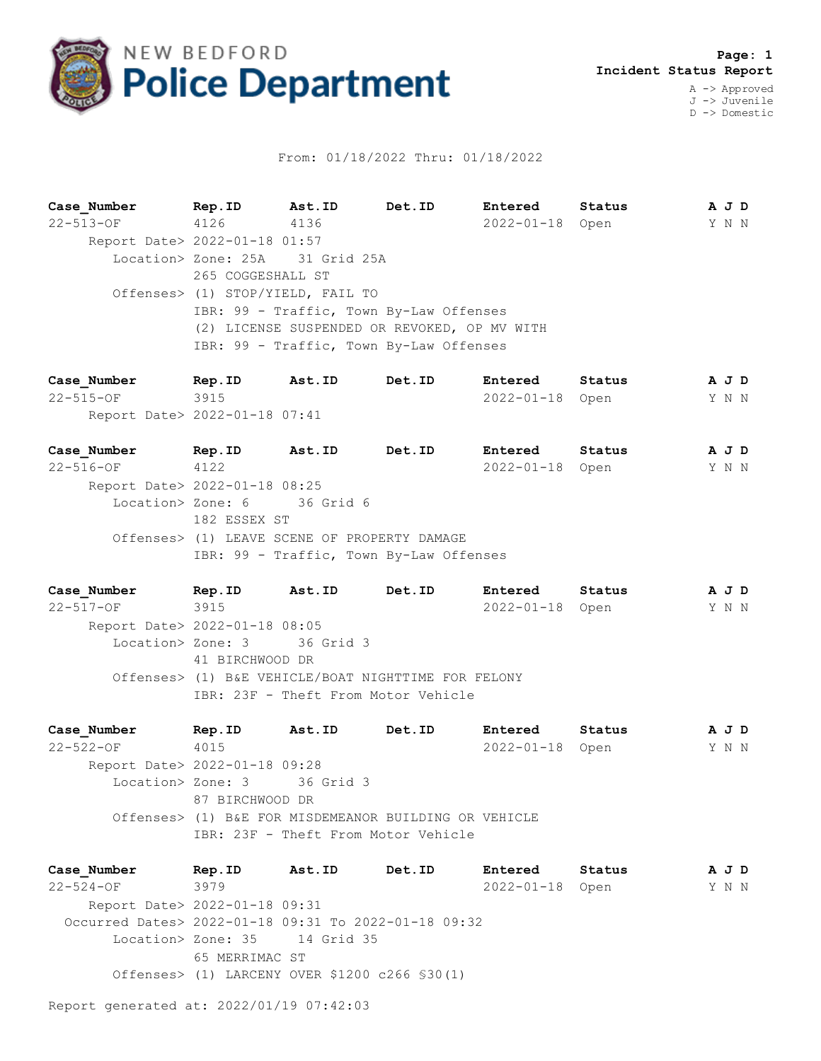

## From: 01/18/2022 Thru: 01/18/2022

**Case\_Number Rep.ID Ast.ID Det.ID Entered Status A J D** 22-513-OF 4126 4136 2022-01-18 Open Y N N Report Date> 2022-01-18 01:57 Location> Zone: 25A 31 Grid 25A 265 COGGESHALL ST Offenses> (1) STOP/YIELD, FAIL TO IBR: 99 - Traffic, Town By-Law Offenses (2) LICENSE SUSPENDED OR REVOKED, OP MV WITH IBR: 99 - Traffic, Town By-Law Offenses

**Case\_Number Rep.ID Ast.ID Det.ID Entered Status A J D** 22-515-OF 3915 2022-01-18 Open Y N N Report Date> 2022-01-18 07:41

**Case\_Number Rep.ID Ast.ID Det.ID Entered Status A J D** 22-516-OF 4122 2022-01-18 Open Y N N Report Date> 2022-01-18 08:25 Location> Zone: 6 36 Grid 6 182 ESSEX ST Offenses> (1) LEAVE SCENE OF PROPERTY DAMAGE IBR: 99 - Traffic, Town By-Law Offenses

**Case\_Number Rep.ID Ast.ID Det.ID Entered Status A J D** 22-517-OF 3915 2022-01-18 Open Y N N Report Date> 2022-01-18 08:05 Location> Zone: 3 36 Grid 3 41 BIRCHWOOD DR Offenses> (1) B&E VEHICLE/BOAT NIGHTTIME FOR FELONY IBR: 23F - Theft From Motor Vehicle

**Case\_Number Rep.ID Ast.ID Det.ID Entered Status A J D** 22-522-OF 4015 2022-01-18 Open Y N N Report Date> 2022-01-18 09:28 Location> Zone: 3 36 Grid 3 87 BIRCHWOOD DR Offenses> (1) B&E FOR MISDEMEANOR BUILDING OR VEHICLE IBR: 23F - Theft From Motor Vehicle

**Case\_Number Rep.ID Ast.ID Det.ID Entered Status A J D** 22-524-OF 3979 2022-01-18 Open Y N N Report Date> 2022-01-18 09:31 Occurred Dates> 2022-01-18 09:31 To 2022-01-18 09:32 Location> Zone: 35 14 Grid 35 65 MERRIMAC ST Offenses> (1) LARCENY OVER \$1200 c266 §30(1)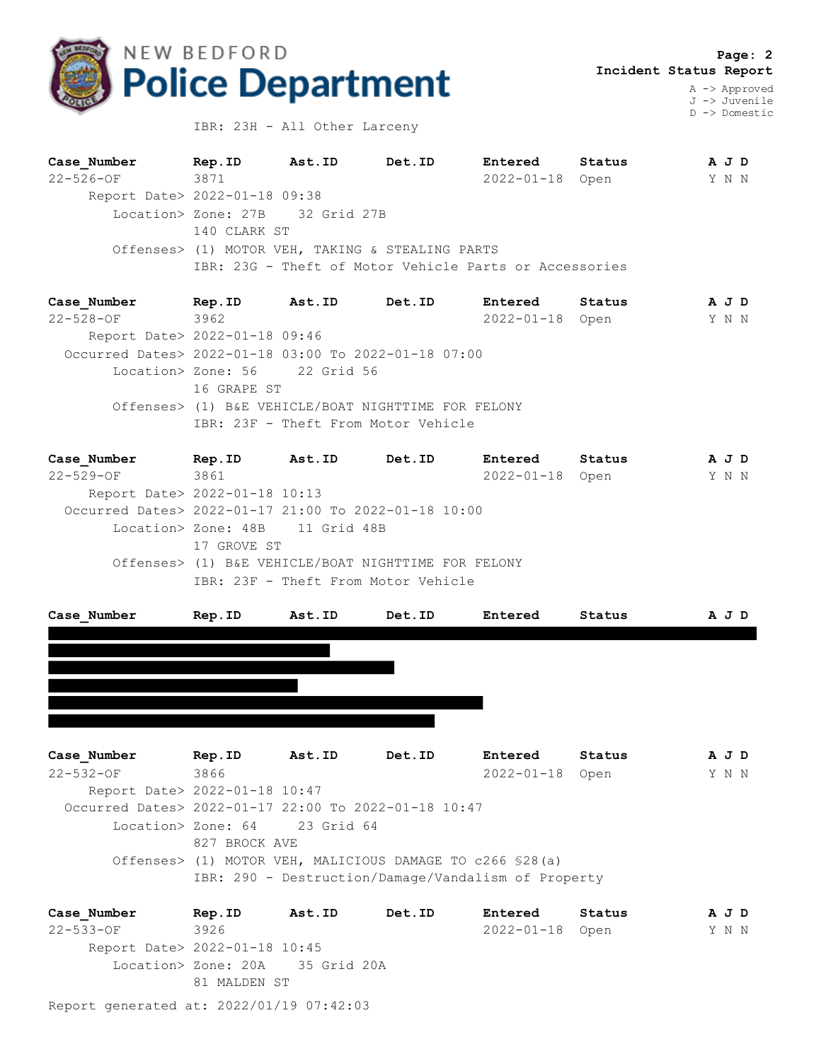

J -> Juvenile D -> Domestic

IBR: 23H - All Other Larceny

| Case Number                   | Rep.ID                          | Ast.ID | Det.ID                                                 | Entered    | Status | A J D |
|-------------------------------|---------------------------------|--------|--------------------------------------------------------|------------|--------|-------|
| $22 - 526 - 0F$               | 3871                            |        |                                                        | 2022-01-18 | Open   | Y N N |
| Report Date> 2022-01-18 09:38 |                                 |        |                                                        |            |        |       |
|                               | Location> Zone: 27B 32 Grid 27B |        |                                                        |            |        |       |
|                               | 140 CLARK ST                    |        |                                                        |            |        |       |
|                               |                                 |        | Offenses> (1) MOTOR VEH, TAKING & STEALING PARTS       |            |        |       |
|                               |                                 |        | IBR: 23G - Theft of Motor Vehicle Parts or Accessories |            |        |       |
|                               |                                 |        |                                                        |            |        |       |

**Case\_Number Rep.ID Ast.ID Det.ID Entered Status A J D** 22-528-OF 3962 2022-01-18 Open Y N N Report Date> 2022-01-18 09:46 Occurred Dates> 2022-01-18 03:00 To 2022-01-18 07:00 Location> Zone: 56 22 Grid 56 16 GRAPE ST Offenses> (1) B&E VEHICLE/BOAT NIGHTTIME FOR FELONY IBR: 23F - Theft From Motor Vehicle

**Case\_Number Rep.ID Ast.ID Det.ID Entered Status A J D** 22-529-OF 3861 2022-01-18 Open Y N N Report Date> 2022-01-18 10:13 Occurred Dates> 2022-01-17 21:00 To 2022-01-18 10:00 Location> Zone: 48B 11 Grid 48B 17 GROVE ST Offenses> (1) B&E VEHICLE/BOAT NIGHTTIME FOR FELONY IBR: 23F - Theft From Motor Vehicle

| Case Number | Rep.ID | Ast.ID | Det.ID | Entered | Status | A J D |
|-------------|--------|--------|--------|---------|--------|-------|
|             |        |        |        |         |        |       |
|             |        |        |        |         |        |       |
|             |        |        |        |         |        |       |
|             |        |        |        |         |        |       |
|             |        |        |        |         |        |       |
|             |        |        |        |         |        |       |

**Case\_Number Rep.ID Ast.ID Det.ID Entered Status A J D** 22-532-OF 3866 2022-01-18 Open Y N N Report Date> 2022-01-18 10:47 Occurred Dates> 2022-01-17 22:00 To 2022-01-18 10:47 Location> Zone: 64 23 Grid 64 827 BROCK AVE Offenses> (1) MOTOR VEH, MALICIOUS DAMAGE TO c266 §28(a) IBR: 290 - Destruction/Damage/Vandalism of Property

Report generated at: 2022/01/19 07:42:03 **Case\_Number Rep.ID Ast.ID Det.ID Entered Status A J D** 22-533-OF 3926 2022-01-18 Open Y N N Report Date> 2022-01-18 10:45 Location> Zone: 20A 35 Grid 20A 81 MALDEN ST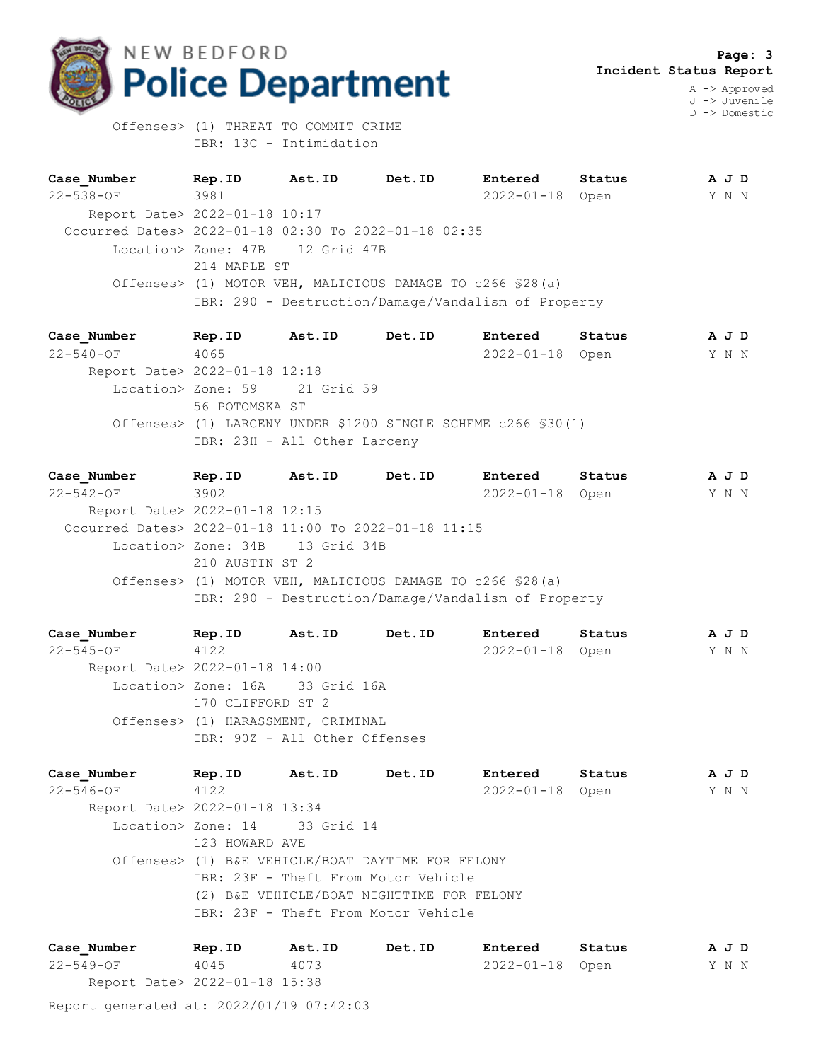

 **Page: 3 Incident Status Report**

A -> Approved J -> Juvenile D -> Domestic

 Offenses> (1) THREAT TO COMMIT CRIME IBR: 13C - Intimidation

**Case\_Number Rep.ID Ast.ID Det.ID Entered Status A J D** 22-538-OF 3981 2022-01-18 Open Y N N Report Date> 2022-01-18 10:17 Occurred Dates> 2022-01-18 02:30 To 2022-01-18 02:35 Location> Zone: 47B 12 Grid 47B 214 MAPLE ST Offenses> (1) MOTOR VEH, MALICIOUS DAMAGE TO c266 §28(a) IBR: 290 - Destruction/Damage/Vandalism of Property

**Case\_Number Rep.ID Ast.ID Det.ID Entered Status A J D** 22-540-OF 4065 2022-01-18 Open Y N N Report Date> 2022-01-18 12:18 Location> Zone: 59 21 Grid 59 56 POTOMSKA ST Offenses> (1) LARCENY UNDER \$1200 SINGLE SCHEME c266 §30(1) IBR: 23H - All Other Larceny

**Case\_Number Rep.ID Ast.ID Det.ID Entered Status A J D** 22-542-OF 3902 2022-01-18 Open Y N N Report Date> 2022-01-18 12:15 Occurred Dates> 2022-01-18 11:00 To 2022-01-18 11:15 Location> Zone: 34B 13 Grid 34B 210 AUSTIN ST 2 Offenses> (1) MOTOR VEH, MALICIOUS DAMAGE TO c266 §28(a) IBR: 290 - Destruction/Damage/Vandalism of Property

**Case\_Number Rep.ID Ast.ID Det.ID Entered Status A J D** 22-545-OF 4122 2022-01-18 Open Y N N Report Date> 2022-01-18 14:00 Location> Zone: 16A 33 Grid 16A 170 CLIFFORD ST 2 Offenses> (1) HARASSMENT, CRIMINAL IBR: 90Z - All Other Offenses

**Case\_Number Rep.ID Ast.ID Det.ID Entered Status A J D** 22-546-OF 4122 2022-01-18 Open Y N N Report Date> 2022-01-18 13:34 Location> Zone: 14 33 Grid 14 123 HOWARD AVE Offenses> (1) B&E VEHICLE/BOAT DAYTIME FOR FELONY IBR: 23F - Theft From Motor Vehicle (2) B&E VEHICLE/BOAT NIGHTTIME FOR FELONY IBR: 23F - Theft From Motor Vehicle

Report generated at: 2022/01/19 07:42:03 **Case\_Number Rep.ID Ast.ID Det.ID Entered Status A J D** 22-549-OF 4045 4073 2022-01-18 Open Y N N Report Date> 2022-01-18 15:38